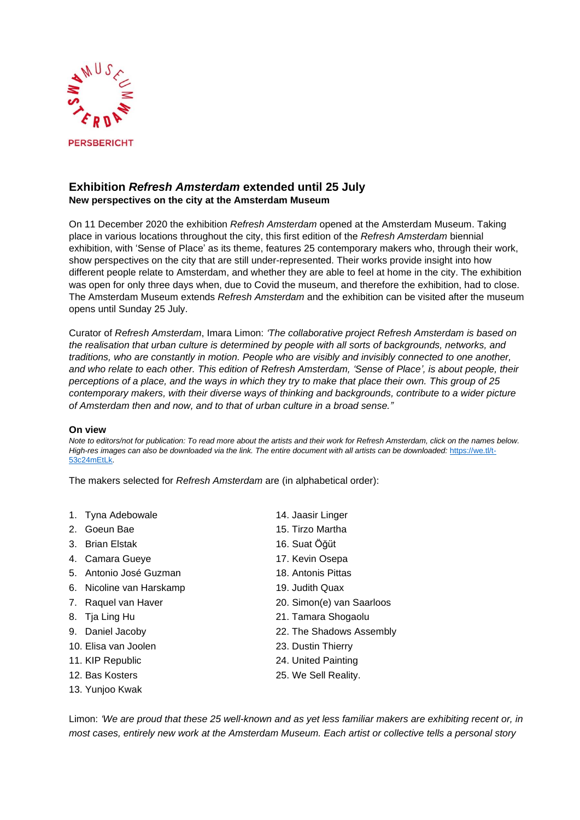

# **Exhibition** *Refresh Amsterdam* **extended until 25 July New perspectives on the city at the Amsterdam Museum**

On 11 December 2020 the exhibition *Refresh Amsterdam* opened at the Amsterdam Museum. Taking place in various locations throughout the city, this first edition of the *Refresh Amsterdam* biennial exhibition, with 'Sense of Place' as its theme, features 25 contemporary makers who, through their work, show perspectives on the city that are still under-represented. Their works provide insight into how different people relate to Amsterdam, and whether they are able to feel at home in the city. The exhibition was open for only three days when, due to Covid the museum, and therefore the exhibition, had to close. The Amsterdam Museum extends *Refresh Amsterdam* and the exhibition can be visited after the museum opens until Sunday 25 July.

Curator of *Refresh Amsterdam*, Imara Limon: *'The collaborative project Refresh Amsterdam is based on the realisation that urban culture is determined by people with all sorts of backgrounds, networks, and traditions, who are constantly in motion. People who are visibly and invisibly connected to one another, and who relate to each other. This edition of Refresh Amsterdam, 'Sense of Place', is about people, their perceptions of a place, and the ways in which they try to make that place their own. This group of 25 contemporary makers, with their diverse ways of thinking and backgrounds, contribute to a wider picture of Amsterdam then and now, and to that of urban culture in a broad sense."*

#### **On view**

*Note to editors/not for publication: To read more about the artists and their work for Refresh Amsterdam, click on the names below.*  High-res images can also be downloaded via the link. The entire document with all artists can be downloaded: [https://we.tl/t-](https://we.tl/t-53c24mEtLk)[53c24mEtLk.](https://we.tl/t-53c24mEtLk) 

The makers selected for *Refresh Amsterdam* are (in alphabetical order):

|  | 1. |  | Tyna Adebowale |
|--|----|--|----------------|
|--|----|--|----------------|

- 
- 3. [Brian Elstak](https://issuu.com/amsterdammuseum/docs/20201022_am_refresh_-_sense_of_place/4) 16. [Suat Öğüt](https://issuu.com/amsterdammuseum/docs/20201022_am_refresh_-_sense_of_place/17)
- 4. [Camara Gueye](https://issuu.com/amsterdammuseum/docs/20201022_am_refresh_-_sense_of_place/5) 17. [Kevin Osepa](https://issuu.com/amsterdammuseum/docs/20201022_am_refresh_-_sense_of_place/18)
- 5. [Antonio José](https://issuu.com/amsterdammuseum/docs/20201022_am_refresh_-_sense_of_place/6) Guzman 18. [Antonis Pittas](https://issuu.com/amsterdammuseum/docs/20201022_am_refresh_-_sense_of_place/19)
- 6. [Nicoline van Harskamp](https://issuu.com/amsterdammuseum/docs/20201022_am_refresh_-_sense_of_place/7) 19. [Judith Quax](https://issuu.com/amsterdammuseum/docs/20201022_am_refresh_-_sense_of_place/20)
- 
- 
- 
- 10. [Elisa van Joolen](https://issuu.com/amsterdammuseum/docs/20201022_am_refresh_-_sense_of_place/11) 23. [Dustin Thierry](https://issuu.com/amsterdammuseum/docs/20201022_am_refresh_-_sense_of_place/24)
- 11. [KIP Republic](https://issuu.com/amsterdammuseum/docs/20201022_am_refresh_-_sense_of_place/12) 24. [United Painting](https://issuu.com/amsterdammuseum/docs/20201022_am_refresh_-_sense_of_place/25)
- 
- 13. [Yunjoo Kwak](https://issuu.com/amsterdammuseum/docs/20201022_am_refresh_-_sense_of_place/14)
- 14. [Jaasir Linger](https://issuu.com/amsterdammuseum/docs/20201022_am_refresh_-_sense_of_place/15)
- 2. [Goeun Bae](https://issuu.com/amsterdammuseum/docs/20201022_am_refresh_-_sense_of_place/3) 15. [Tirzo Martha](https://issuu.com/amsterdammuseum/docs/20201022_am_refresh_-_sense_of_place/16)
	-
	-
	-
	-
- 7. [Raquel van Haver](https://issuu.com/amsterdammuseum/docs/20201022_am_refresh_-_sense_of_place/8) 20. [Simon\(e\) van Saarloos](https://issuu.com/amsterdammuseum/docs/20201022_am_refresh_-_sense_of_place/21)
- 8. [Tja Ling Hu](https://issuu.com/amsterdammuseum/docs/20201022_am_refresh_-_sense_of_place/9) 21. [Tamara Shogaolu](https://issuu.com/amsterdammuseum/docs/20201022_am_refresh_-_sense_of_place/22)
- 9. [Daniel Jacoby](https://issuu.com/amsterdammuseum/docs/20201022_am_refresh_-_sense_of_place/10) 22. [The Shadows Assembly](https://issuu.com/amsterdammuseum/docs/20201022_am_refresh_-_sense_of_place/23)
	-
	-
- 12. [Bas Kosters](https://issuu.com/amsterdammuseum/docs/20201022_am_refresh_-_sense_of_place/13) **25. [We Sell Reality.](https://issuu.com/amsterdammuseum/docs/20201022_am_refresh_-_sense_of_place/26)**

Limon: *'We are proud that these 25 well-known and as yet less familiar makers are exhibiting recent or, in most cases, entirely new work at the Amsterdam Museum. Each artist or collective tells a personal story*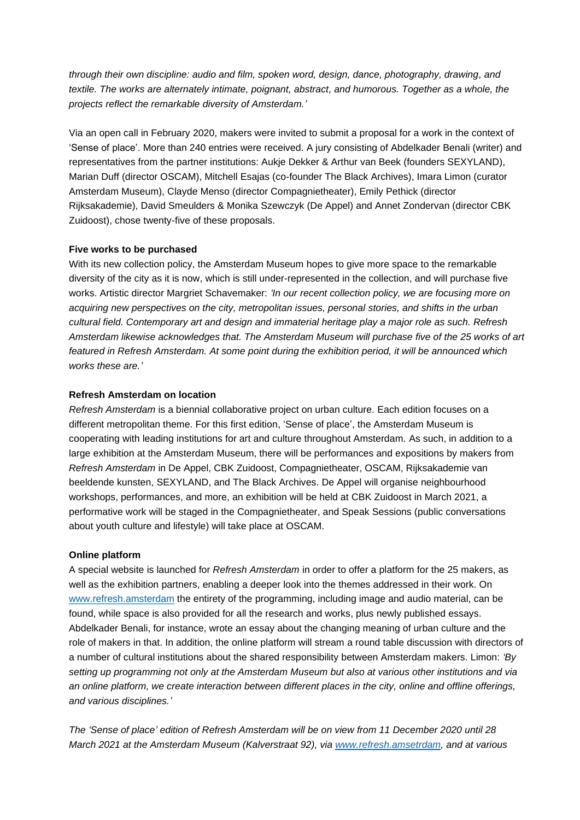*through their own discipline: audio and film, spoken word, design, dance, photography, drawing, and textile. The works are alternately intimate, poignant, abstract, and humorous. Together as a whole, the projects reflect the remarkable diversity of Amsterdam.'*

Via an open call in February 2020, makers were invited to submit a proposal for a work in the context of 'Sense of place'. More than 240 entries were received. A jury consisting of Abdelkader Benali (writer) and representatives from the partner institutions: Aukje Dekker & Arthur van Beek (founders SEXYLAND), Marian Duff (director OSCAM), Mitchell Esajas (co-founder The Black Archives), Imara Limon (curator Amsterdam Museum), Clayde Menso (director Compagnietheater), Emily Pethick (director Rijksakademie), David Smeulders & Monika Szewczyk (De Appel) and Annet Zondervan (director CBK Zuidoost), chose twenty-five of these proposals.

### **Five works to be purchased**

With its new collection policy, the Amsterdam Museum hopes to give more space to the remarkable diversity of the city as it is now, which is still under-represented in the collection, and will purchase five works. Artistic director Margriet Schavemaker: *'In our recent collection policy, we are focusing more on acquiring new perspectives on the city, metropolitan issues, personal stories, and shifts in the urban cultural field. Contemporary art and design and immaterial heritage play a major role as such. Refresh Amsterdam likewise acknowledges that. The Amsterdam Museum will purchase five of the 25 works of art featured in Refresh Amsterdam. At some point during the exhibition period, it will be announced which works these are.'*

## **Refresh Amsterdam on location**

*Refresh Amsterdam* is a biennial collaborative project on urban culture. Each edition focuses on a different metropolitan theme. For this first edition, 'Sense of place', the Amsterdam Museum is cooperating with leading institutions for art and culture throughout Amsterdam. As such, in addition to a large exhibition at the Amsterdam Museum, there will be performances and expositions by makers from *Refresh Amsterdam* in De Appel, CBK Zuidoost, Compagnietheater, OSCAM, Rijksakademie van beeldende kunsten, SEXYLAND, and The Black Archives. De Appel will organise neighbourhood workshops, performances, and more, an exhibition will be held at CBK Zuidoost in March 2021, a performative work will be staged in the Compagnietheater, and Speak Sessions (public conversations about youth culture and lifestyle) will take place at OSCAM.

### **Online platform**

A special website is launched for *Refresh Amsterdam* in order to offer a platform for the 25 makers, as well as the exhibition partners, enabling a deeper look into the themes addressed in their work. On [www.refresh.amsterdam](http://www.refresh.amsterdam/) the entirety of the programming, including image and audio material, can be found, while space is also provided for all the research and works, plus newly published essays. Abdelkader Benali, for instance, wrote an essay about the changing meaning of urban culture and the role of makers in that. In addition, the online platform will stream a round table discussion with directors of a number of cultural institutions about the shared responsibility between Amsterdam makers. Limon: *'By setting up programming not only at the Amsterdam Museum but also at various other institutions and via an online platform, we create interaction between different places in the city, online and offline offerings, and various disciplines.'*

*The 'Sense of place' edition of Refresh Amsterdam will be on view from 11 December 2020 until 28 March 2021 at the Amsterdam Museum (Kalverstraat 92), via [www.refresh.amsetrdam,](http://www.refresh.amsetrdam/) and at various*